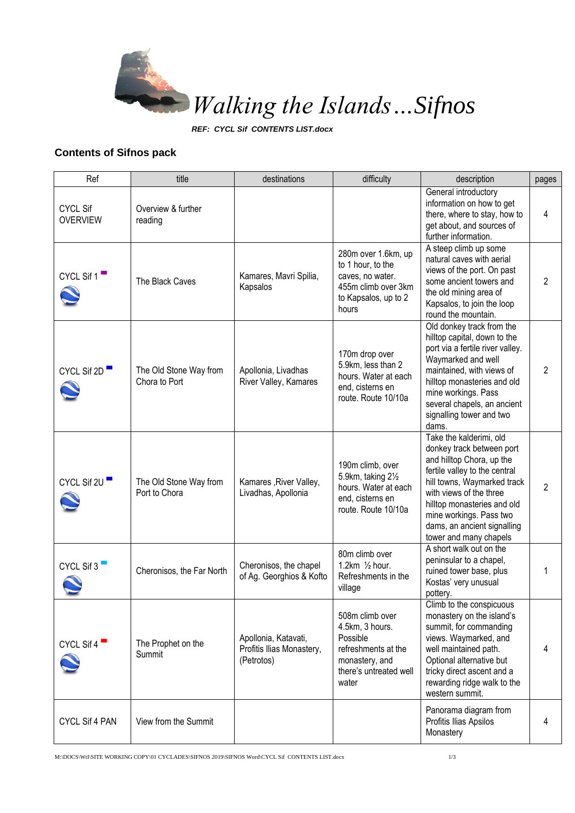

*REF: CYCL Sif CONTENTS LIST.docx*

## **Contents of Sifnos pack**

| Ref                                | title                                   | destinations                                                    | difficulty                                                                                                                 | description                                                                                                                                                                                                                                                                                     | pages |
|------------------------------------|-----------------------------------------|-----------------------------------------------------------------|----------------------------------------------------------------------------------------------------------------------------|-------------------------------------------------------------------------------------------------------------------------------------------------------------------------------------------------------------------------------------------------------------------------------------------------|-------|
| <b>CYCL Sif</b><br><b>OVERVIEW</b> | Overview & further<br>reading           |                                                                 |                                                                                                                            | General introductory<br>information on how to get<br>there, where to stay, how to<br>get about, and sources of<br>further information.                                                                                                                                                          | 4     |
| CYCL Sif $1$                       | The Black Caves                         | Kamares, Mavri Spilia,<br>Kapsalos                              | 280m over 1.6km, up<br>to 1 hour, to the<br>caves, no water.<br>455m climb over 3km<br>to Kapsalos, up to 2<br>hours       | A steep climb up some<br>natural caves with aerial<br>views of the port. On past<br>some ancient towers and<br>the old mining area of<br>Kapsalos, to join the loop<br>round the mountain.                                                                                                      | 2     |
| CYCL Sif 2D                        | The Old Stone Way from<br>Chora to Port | Apollonia, Livadhas<br>River Valley, Kamares                    | 170m drop over<br>5.9km, less than 2<br>hours. Water at each<br>end, cisterns en<br>route. Route 10/10a                    | Old donkey track from the<br>hilltop capital, down to the<br>port via a fertile river valley.<br>Waymarked and well<br>maintained, with views of<br>hilltop monasteries and old<br>mine workings. Pass<br>several chapels, an ancient<br>signalling tower and two<br>dams.                      | 2     |
| CYCL Sif 2U                        | The Old Stone Way from<br>Port to Chora | Kamares , River Valley,<br>Livadhas, Apollonia                  | 190m climb, over<br>5.9km, taking 21/2<br>hours. Water at each<br>end, cisterns en<br>route. Route 10/10a                  | Take the kalderimi, old<br>donkey track between port<br>and hilltop Chora, up the<br>fertile valley to the central<br>hill towns, Waymarked track<br>with views of the three<br>hilltop monasteries and old<br>mine workings. Pass two<br>dams, an ancient signalling<br>tower and many chapels | 2     |
| CYCL Sif 3                         | Cheronisos, the Far North               | Cheronisos, the chapel<br>of Ag. Georghios & Kofto              | 80m climb over<br>1.2km $\frac{1}{2}$ hour.<br>Refreshments in the<br>village                                              | A short walk out on the<br>peninsular to a chapel,<br>ruined tower base, plus<br>Kostas' very unusual<br>pottery.                                                                                                                                                                               | 1     |
| CYCL Sif $4$                       | The Prophet on the<br>Summit            | Apollonia, Katavati,<br>Profitis Ilias Monastery,<br>(Petrotos) | 508m climb over<br>4.5km, 3 hours.<br>Possible<br>refreshments at the<br>monastery, and<br>there's untreated well<br>water | Climb to the conspicuous<br>monastery on the island's<br>summit, for commanding<br>views. Waymarked, and<br>well maintained path.<br>Optional alternative but<br>tricky direct ascent and a<br>rewarding ridge walk to the<br>western summit.                                                   | 4     |
| CYCL Sif 4 PAN                     | View from the Summit                    |                                                                 |                                                                                                                            | Panorama diagram from<br>Profitis Ilias Apsilos<br>Monastery                                                                                                                                                                                                                                    | 4     |

M:\DOCS\WtI\SITE WORKING COPY\01 CYCLADES\SIFNOS 2019\SIFNOS Word\CYCL Sif CONTENTS LIST.docx 1/3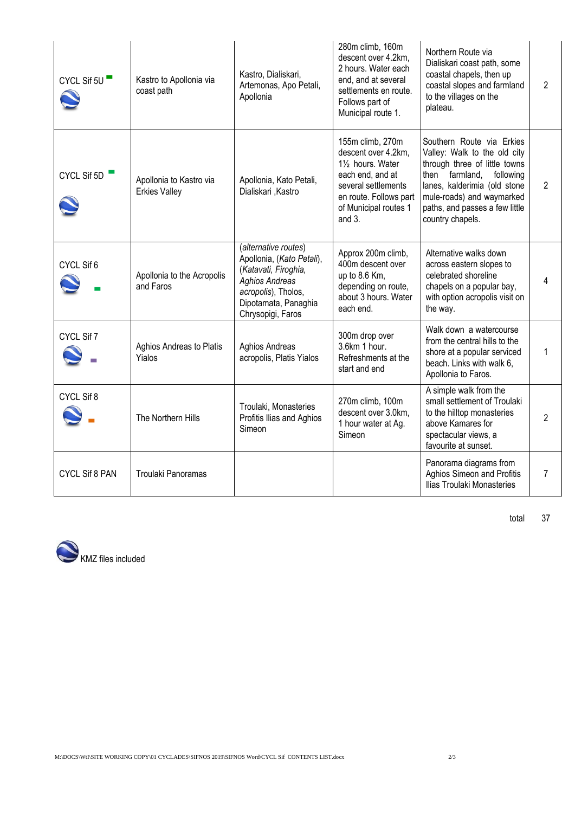| CYCL Sif 5U    | Kastro to Apollonia via<br>coast path           | Kastro, Dialiskari,<br>Artemonas, Apo Petali,<br>Apollonia                                                                                                             | 280m climb, 160m<br>descent over 4.2km,<br>2 hours. Water each<br>end, and at several<br>settlements en route.<br>Follows part of<br>Municipal route 1.                 | Northern Route via<br>Dialiskari coast path, some<br>coastal chapels, then up<br>coastal slopes and farmland<br>to the villages on the<br>plateau.                                                                                              | $\mathfrak{p}$ |
|----------------|-------------------------------------------------|------------------------------------------------------------------------------------------------------------------------------------------------------------------------|-------------------------------------------------------------------------------------------------------------------------------------------------------------------------|-------------------------------------------------------------------------------------------------------------------------------------------------------------------------------------------------------------------------------------------------|----------------|
| CYCL Sif 5D    | Apollonia to Kastro via<br><b>Erkies Valley</b> | Apollonia, Kato Petali,<br>Dialiskari , Kastro                                                                                                                         | 155m climb, 270m<br>descent over 4.2km,<br>11/2 hours. Water<br>each end, and at<br>several settlements<br>en route. Follows part<br>of Municipal routes 1<br>and $3$ . | Southern Route via Erkies<br>Valley: Walk to the old city<br>through three of little towns<br>then<br>farmland,<br>following<br>lanes, kalderimia (old stone<br>mule-roads) and waymarked<br>paths, and passes a few little<br>country chapels. | $\overline{2}$ |
| CYCL Sif 6     | Apollonia to the Acropolis<br>and Faros         | (alternative routes)<br>Apollonia, (Kato Petali),<br>(Katavati, Firoghia,<br><b>Aghios Andreas</b><br>acropolis), Tholos,<br>Dipotamata, Panaghia<br>Chrysopigi, Faros | Approx 200m climb,<br>400m descent over<br>up to 8.6 Km,<br>depending on route,<br>about 3 hours. Water<br>each end.                                                    | Alternative walks down<br>across eastern slopes to<br>celebrated shoreline<br>chapels on a popular bay,<br>with option acropolis visit on<br>the way.                                                                                           | 4              |
| CYCL Sif 7     | Aghios Andreas to Platis<br>Yialos              | <b>Aghios Andreas</b><br>acropolis, Platis Yialos                                                                                                                      | 300m drop over<br>3.6km 1 hour.<br>Refreshments at the<br>start and end                                                                                                 | Walk down a watercourse<br>from the central hills to the<br>shore at a popular serviced<br>beach. Links with walk 6,<br>Apollonia to Faros.                                                                                                     | 1              |
| CYCL Sif 8     | The Northern Hills                              | Troulaki, Monasteries<br>Profitis Ilias and Aghios<br>Simeon                                                                                                           | 270m climb, 100m<br>descent over 3.0km,<br>1 hour water at Ag.<br>Simeon                                                                                                | A simple walk from the<br>small settlement of Troulaki<br>to the hilltop monasteries<br>above Kamares for<br>spectacular views, a<br>favourite at sunset.                                                                                       | $\overline{2}$ |
| CYCL Sif 8 PAN | Troulaki Panoramas                              |                                                                                                                                                                        |                                                                                                                                                                         | Panorama diagrams from<br>Aghios Simeon and Profitis<br>Ilias Troulaki Monasteries                                                                                                                                                              | 7              |



total 37